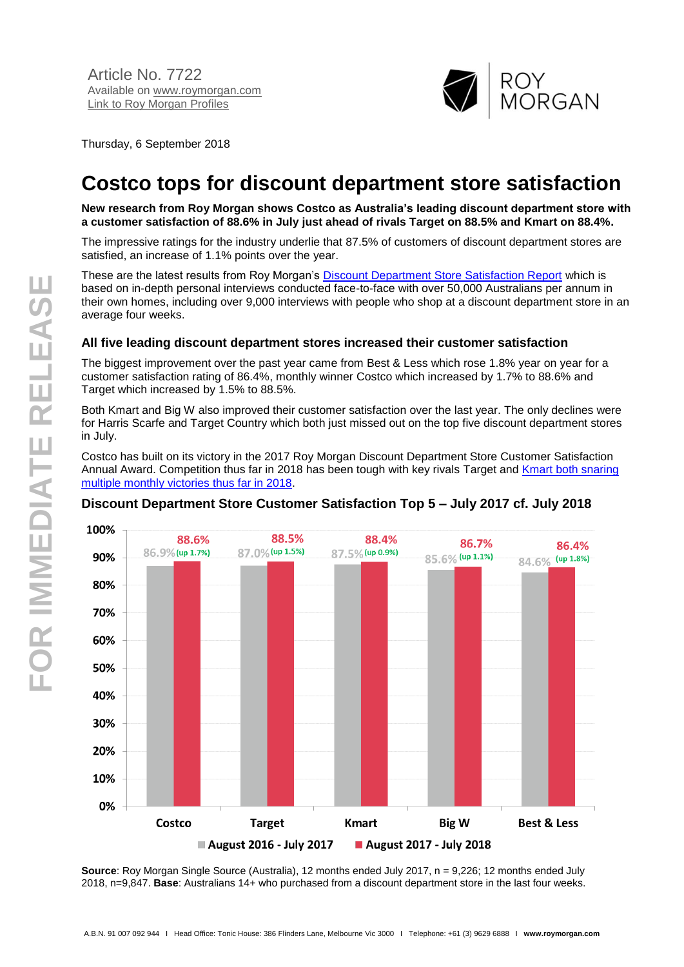

Thursday, 6 September 2018

# **Costco tops for discount department store satisfaction**

**New research from Roy Morgan shows Costco as Australia's leading discount department store with a customer satisfaction of 88.6% in July just ahead of rivals Target on 88.5% and Kmart on 88.4%.**

The impressive ratings for the industry underlie that 87.5% of customers of discount department stores are satisfied, an increase of 1.1% points over the year.

These are the latest results from Roy Morgan's [Discount Department Store Satisfaction Report](http://www.roymorganonlinestore.com/Browse/Australia/Retail/Customer-Satisfaction-Reports/Customer-Satisfaction-Discount-Department-Stor.aspx) which is based on in-depth personal interviews conducted face-to-face with over 50,000 Australians per annum in their own homes, including over 9,000 interviews with people who shop at a discount department store in an average four weeks.

#### **All five leading discount department stores increased their customer satisfaction**

The biggest improvement over the past year came from Best & Less which rose 1.8% year on year for a customer satisfaction rating of 86.4%, monthly winner Costco which increased by 1.7% to 88.6% and Target which increased by 1.5% to 88.5%.

Both Kmart and Big W also improved their customer satisfaction over the last year. The only declines were for Harris Scarfe and Target Country which both just missed out on the top five discount department stores in July.

Costco has built on its victory in the 2017 Roy Morgan Discount Department Store Customer Satisfaction Annual Award. Competition thus far in 2018 has been tough with key rivals Target and [Kmart both snaring](http://www.roymorgan.com/findings/7649-satisfaction-up-for-discount-department-stores-201807060648)  [multiple monthly victories thus far in 2018.](http://www.roymorgan.com/findings/7649-satisfaction-up-for-discount-department-stores-201807060648)



## **Discount Department Store Customer Satisfaction Top 5 – July 2017 cf. July 2018**

**Source**: Roy Morgan Single Source (Australia), 12 months ended July 2017, n = 9,226; 12 months ended July 2018, n=9,847. **Base**: Australians 14+ who purchased from a discount department store in the last four weeks.